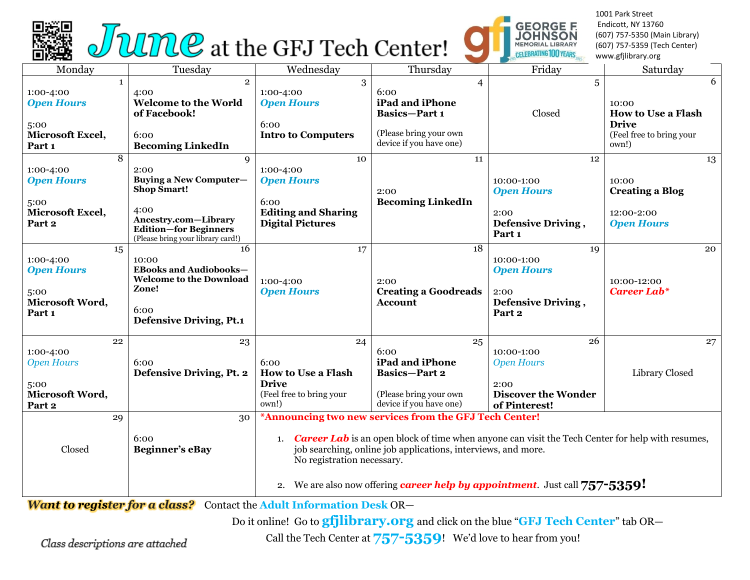



1001 Park Street Endicott, NY 13760 (607) 757-5350 (Main Library) (607) 757-5359 (Tech Center) www.gfjlibrary.org

| Monday                                                                               | Tuesday                                                                                                                                                               | Wednesday                                                                                                                                                                                                                                                                                                                                                        | Thursday                                                                                                               | Friday                                                                                       | Saturday                                                                                     |
|--------------------------------------------------------------------------------------|-----------------------------------------------------------------------------------------------------------------------------------------------------------------------|------------------------------------------------------------------------------------------------------------------------------------------------------------------------------------------------------------------------------------------------------------------------------------------------------------------------------------------------------------------|------------------------------------------------------------------------------------------------------------------------|----------------------------------------------------------------------------------------------|----------------------------------------------------------------------------------------------|
| $\mathbf{1}$<br>1:00-4:00<br><b>Open Hours</b><br>5:00<br>Microsoft Excel,<br>Part 1 | $\overline{2}$<br>4:00<br><b>Welcome to the World</b><br>of Facebook!<br>6:00<br><b>Becoming LinkedIn</b>                                                             | 3<br>1:00-4:00<br><b>Open Hours</b><br>6:00<br><b>Intro to Computers</b>                                                                                                                                                                                                                                                                                         | $\overline{4}$<br>6:00<br>iPad and iPhone<br><b>Basics-Part 1</b><br>(Please bring your own<br>device if you have one) | 5<br>Closed                                                                                  | 6<br>10:00<br><b>How to Use a Flash</b><br><b>Drive</b><br>(Feel free to bring your<br>own!) |
| 8<br>1:00-4:00<br><b>Open Hours</b><br>5:00<br>Microsoft Excel,<br>Part 2            | 9<br>2:00<br><b>Buying a New Computer-</b><br><b>Shop Smart!</b><br>4:00<br>Ancestry.com-Library<br><b>Edition-for Beginners</b><br>(Please bring your library card!) | 10<br>1:00-4:00<br><b>Open Hours</b><br>6:00<br><b>Editing and Sharing</b><br><b>Digital Pictures</b>                                                                                                                                                                                                                                                            | 11<br>2:00<br><b>Becoming LinkedIn</b>                                                                                 | 12<br>10:00-1:00<br><b>Open Hours</b><br>2:00<br>Defensive Driving,<br>Part 1                | 13<br>10:00<br><b>Creating a Blog</b><br>12:00-2:00<br><b>Open Hours</b>                     |
| 15<br>1:00-4:00<br><b>Open Hours</b><br>5:00<br>Microsoft Word,<br>Part 1            | 16<br>10:00<br><b>EBooks and Audiobooks-</b><br><b>Welcome to the Download</b><br>Zone!<br>6:00<br><b>Defensive Driving, Pt.1</b>                                     | 17<br>1:00-4:00<br><b>Open Hours</b>                                                                                                                                                                                                                                                                                                                             | 18<br>2:00<br><b>Creating a Goodreads</b><br><b>Account</b>                                                            | 19<br>10:00-1:00<br><b>Open Hours</b><br>2:00<br>Defensive Driving,<br>Part <sub>2</sub>     | 20<br>10:00-12:00<br><b>Career Lab*</b>                                                      |
| 22<br>1:00-4:00<br><b>Open Hours</b><br>5:00<br>Microsoft Word,<br>Part 2            | 23<br>6:00<br>Defensive Driving, Pt. 2                                                                                                                                | 24<br>6:00<br><b>How to Use a Flash</b><br><b>Drive</b><br>(Feel free to bring your<br>own!)                                                                                                                                                                                                                                                                     | 25<br>6:00<br>iPad and iPhone<br><b>Basics-Part 2</b><br>(Please bring your own<br>device if you have one)             | 26<br>10:00-1:00<br><b>Open Hours</b><br>2:00<br><b>Discover the Wonder</b><br>of Pinterest! | 27<br>Library Closed                                                                         |
| 29<br>Closed                                                                         | 30<br>6:00<br><b>Beginner's eBay</b><br>$\sim$                                                                                                                        | *Announcing two new services from the GFJ Tech Center!<br><b>Career Lab</b> is an open block of time when anyone can visit the Tech Center for help with resumes,<br>1.<br>job searching, online job applications, interviews, and more.<br>No registration necessary.<br>We are also now offering <b>career help by appointment</b> . Just call 757-5359!<br>2. |                                                                                                                        |                                                                                              |                                                                                              |

*Want to register for a class?*Contact the **Adult Information Desk** OR—

Do it online! Go to **gfjlibrary.org** and click on the blue "**GFJ Tech Center**" tab OR—

Class descriptions are attached

Call the Tech Center at **757-5359**! We'd love to hear from you!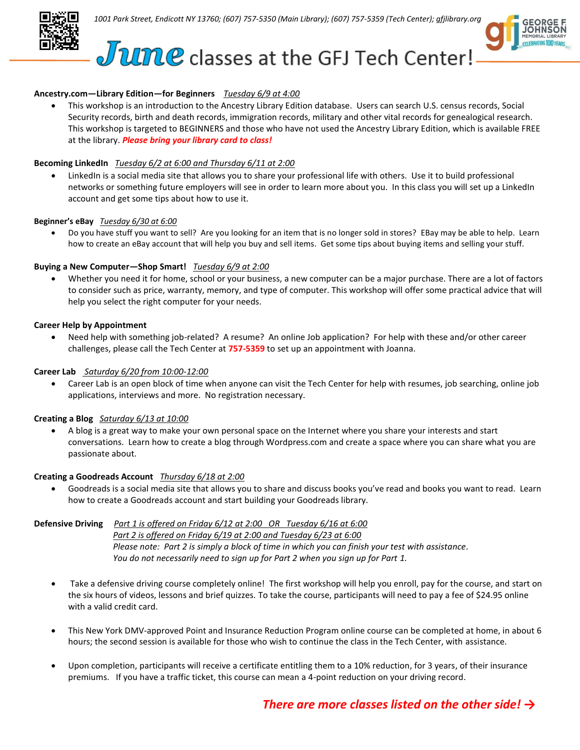



# $J$   $U$   $R$   $C$  classes at the GFJ Tech Center!

# **Ancestry.com—Library Edition—for Beginners** *Tuesday 6/9 at 4:00*

 This workshop is an introduction to the Ancestry Library Edition database. Users can search U.S. census records, Social Security records, birth and death records, immigration records, military and other vital records for genealogical research. This workshop is targeted to BEGINNERS and those who have not used the Ancestry Library Edition, which is available FREE at the library. *Please bring your library card to class!*

#### **Becoming LinkedIn** *Tuesday 6/2 at 6:00 and Thursday 6/11 at 2:00*

 LinkedIn is a social media site that allows you to share your professional life with others. Use it to build professional networks or something future employers will see in order to learn more about you. In this class you will set up a LinkedIn account and get some tips about how to use it.

#### **Beginner's eBay** *Tuesday 6/30 at 6:00*

 Do you have stuff you want to sell? Are you looking for an item that is no longer sold in stores? EBay may be able to help. Learn how to create an eBay account that will help you buy and sell items. Get some tips about buying items and selling your stuff.

#### **Buying a New Computer—Shop Smart!** *Tuesday 6/9 at 2:00*

 Whether you need it for home, school or your business, a new computer can be a major purchase. There are a lot of factors to consider such as price, warranty, memory, and type of computer. This workshop will offer some practical advice that will help you select the right computer for your needs.

#### **Career Help by Appointment**

 Need help with something job-related? A resume? An online Job application? For help with these and/or other career challenges, please call the Tech Center at **757-5359** to set up an appointment with Joanna.

#### **Career Lab** *Saturday 6/20 from 10:00-12:00*

 Career Lab is an open block of time when anyone can visit the Tech Center for help with resumes, job searching, online job applications, interviews and more. No registration necessary.

#### **Creating a Blog** *Saturday 6/13 at 10:00*

 A blog is a great way to make your own personal space on the Internet where you share your interests and start conversations. Learn how to create a blog through Wordpress.com and create a space where you can share what you are passionate about.

#### **Creating a Goodreads Account** *Thursday 6/18 at 2:00*

 Goodreads is a social media site that allows you to share and discuss books you've read and books you want to read. Learn how to create a Goodreads account and start building your Goodreads library.

**Defensive Driving** *Part 1 is offered on Friday 6/12 at 2:00 OR Tuesday 6/16 at 6:00 Part 2 is offered on Friday 6/19 at 2:00 and Tuesday 6/23 at 6:00 Please note: Part 2 is simply a block of time in which you can finish your test with assistance. You do not necessarily need to sign up for Part 2 when you sign up for Part 1.*

- Take a defensive driving course completely online! The first workshop will help you enroll, pay for the course, and start on the six hours of videos, lessons and brief quizzes. To take the course, participants will need to pay a fee of \$24.95 online with a valid credit card.
- This New York DMV-approved Point and Insurance Reduction Program online course can be completed at home, in about 6 hours; the second session is available for those who wish to continue the class in the Tech Center, with assistance.
- Upon completion, participants will receive a certificate entitling them to a 10% reduction, for 3 years, of their insurance premiums. If you have a traffic ticket, this course can mean a 4-point reduction on your driving record.